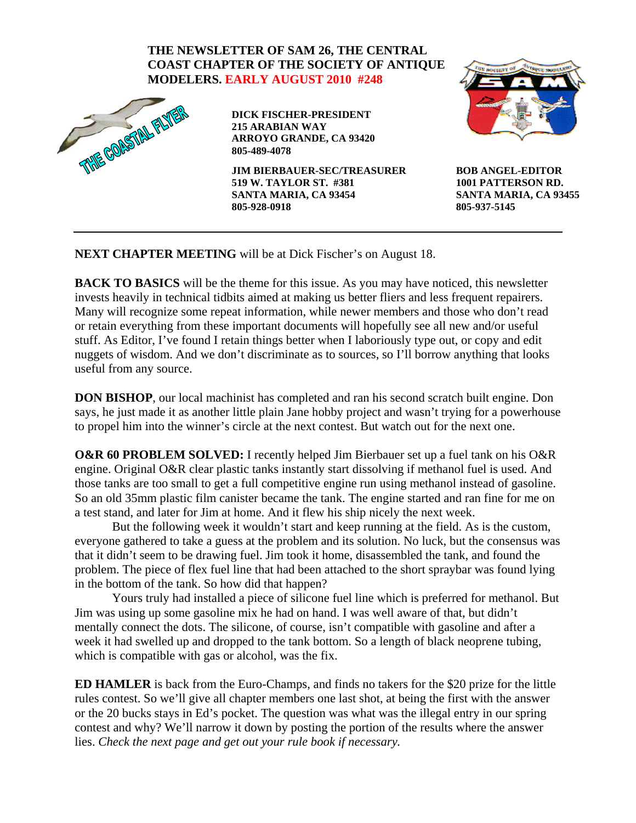



**DICK FISCHER-PRESIDENT 215 ARABIAN WAY ARROYO GRANDE, CA 93420 805-489-4078** 

**JIM BIERBAUER-SEC/TREASURER 519 W. TAYLOR ST. #381 SANTA MARIA, CA 93454 805-928-0918** 



**BOB ANGEL-EDITOR 1001 PATTERSON RD. SANTA MARIA, CA 93455 805-937-5145** 

**NEXT CHAPTER MEETING** will be at Dick Fischer's on August 18.

**BACK TO BASICS** will be the theme for this issue. As you may have noticed, this newsletter invests heavily in technical tidbits aimed at making us better fliers and less frequent repairers. Many will recognize some repeat information, while newer members and those who don't read or retain everything from these important documents will hopefully see all new and/or useful stuff. As Editor, I've found I retain things better when I laboriously type out, or copy and edit nuggets of wisdom. And we don't discriminate as to sources, so I'll borrow anything that looks useful from any source.

**DON BISHOP**, our local machinist has completed and ran his second scratch built engine. Don says, he just made it as another little plain Jane hobby project and wasn't trying for a powerhouse to propel him into the winner's circle at the next contest. But watch out for the next one.

**O&R 60 PROBLEM SOLVED:** I recently helped Jim Bierbauer set up a fuel tank on his O&R engine. Original O&R clear plastic tanks instantly start dissolving if methanol fuel is used. And those tanks are too small to get a full competitive engine run using methanol instead of gasoline. So an old 35mm plastic film canister became the tank. The engine started and ran fine for me on a test stand, and later for Jim at home. And it flew his ship nicely the next week.

 But the following week it wouldn't start and keep running at the field. As is the custom, everyone gathered to take a guess at the problem and its solution. No luck, but the consensus was that it didn't seem to be drawing fuel. Jim took it home, disassembled the tank, and found the problem. The piece of flex fuel line that had been attached to the short spraybar was found lying in the bottom of the tank. So how did that happen?

 Yours truly had installed a piece of silicone fuel line which is preferred for methanol. But Jim was using up some gasoline mix he had on hand. I was well aware of that, but didn't mentally connect the dots. The silicone, of course, isn't compatible with gasoline and after a week it had swelled up and dropped to the tank bottom. So a length of black neoprene tubing, which is compatible with gas or alcohol, was the fix.

**ED HAMLER** is back from the Euro-Champs, and finds no takers for the \$20 prize for the little rules contest. So we'll give all chapter members one last shot, at being the first with the answer or the 20 bucks stays in Ed's pocket. The question was what was the illegal entry in our spring contest and why? We'll narrow it down by posting the portion of the results where the answer lies. *Check the next page and get out your rule book if necessary.*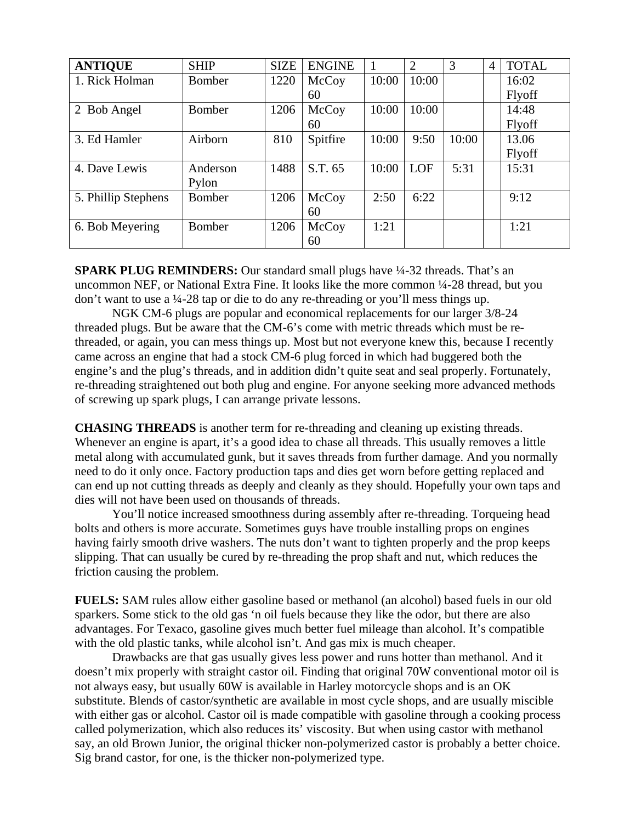| <b>ANTIQUE</b>        | <b>SHIP</b> | <b>SIZE</b> | <b>ENGINE</b> |       | $\overline{2}$ | 3     | 4 | <b>TOTAL</b>  |
|-----------------------|-------------|-------------|---------------|-------|----------------|-------|---|---------------|
| 1. Rick Holman        | Bomber      | 1220        | McCoy         | 10:00 | 10:00          |       |   | 16:02         |
|                       |             |             | 60            |       |                |       |   | Flyoff        |
| <b>Bob Angel</b><br>2 | Bomber      | 1206        | McCoy         | 10:00 | 10:00          |       |   | 14:48         |
|                       |             |             | 60            |       |                |       |   | Flyoff        |
| 3. Ed Hamler          | Airborn     | 810         | Spitfire      | 10:00 | 9:50           | 10:00 |   | 13.06         |
|                       |             |             |               |       |                |       |   | <b>Flyoff</b> |
| 4. Dave Lewis         | Anderson    | 1488        | S.T. 65       | 10:00 | <b>LOF</b>     | 5:31  |   | 15:31         |
|                       | Pylon       |             |               |       |                |       |   |               |
| 5. Phillip Stephens   | Bomber      | 1206        | McCoy         | 2:50  | 6:22           |       |   | 9:12          |
|                       |             |             | 60            |       |                |       |   |               |
| 6. Bob Meyering       | Bomber      | 1206        | McCoy         | 1:21  |                |       |   | 1:21          |
|                       |             |             | 60            |       |                |       |   |               |

**SPARK PLUG REMINDERS:** Our standard small plugs have  $\frac{1}{4}$ -32 threads. That's an uncommon NEF, or National Extra Fine. It looks like the more common ¼-28 thread, but you don't want to use a ¼-28 tap or die to do any re-threading or you'll mess things up.

NGK CM-6 plugs are popular and economical replacements for our larger 3/8-24 threaded plugs. But be aware that the CM-6's come with metric threads which must be rethreaded, or again, you can mess things up. Most but not everyone knew this, because I recently came across an engine that had a stock CM-6 plug forced in which had buggered both the engine's and the plug's threads, and in addition didn't quite seat and seal properly. Fortunately, re-threading straightened out both plug and engine. For anyone seeking more advanced methods of screwing up spark plugs, I can arrange private lessons.

**CHASING THREADS** is another term for re-threading and cleaning up existing threads. Whenever an engine is apart, it's a good idea to chase all threads. This usually removes a little metal along with accumulated gunk, but it saves threads from further damage. And you normally need to do it only once. Factory production taps and dies get worn before getting replaced and can end up not cutting threads as deeply and cleanly as they should. Hopefully your own taps and dies will not have been used on thousands of threads.

 You'll notice increased smoothness during assembly after re-threading. Torqueing head bolts and others is more accurate. Sometimes guys have trouble installing props on engines having fairly smooth drive washers. The nuts don't want to tighten properly and the prop keeps slipping. That can usually be cured by re-threading the prop shaft and nut, which reduces the friction causing the problem.

**FUELS:** SAM rules allow either gasoline based or methanol (an alcohol) based fuels in our old sparkers. Some stick to the old gas 'n oil fuels because they like the odor, but there are also advantages. For Texaco, gasoline gives much better fuel mileage than alcohol. It's compatible with the old plastic tanks, while alcohol isn't. And gas mix is much cheaper.

 Drawbacks are that gas usually gives less power and runs hotter than methanol. And it doesn't mix properly with straight castor oil. Finding that original 70W conventional motor oil is not always easy, but usually 60W is available in Harley motorcycle shops and is an OK substitute. Blends of castor/synthetic are available in most cycle shops, and are usually miscible with either gas or alcohol. Castor oil is made compatible with gasoline through a cooking process called polymerization, which also reduces its' viscosity. But when using castor with methanol say, an old Brown Junior, the original thicker non-polymerized castor is probably a better choice. Sig brand castor, for one, is the thicker non-polymerized type.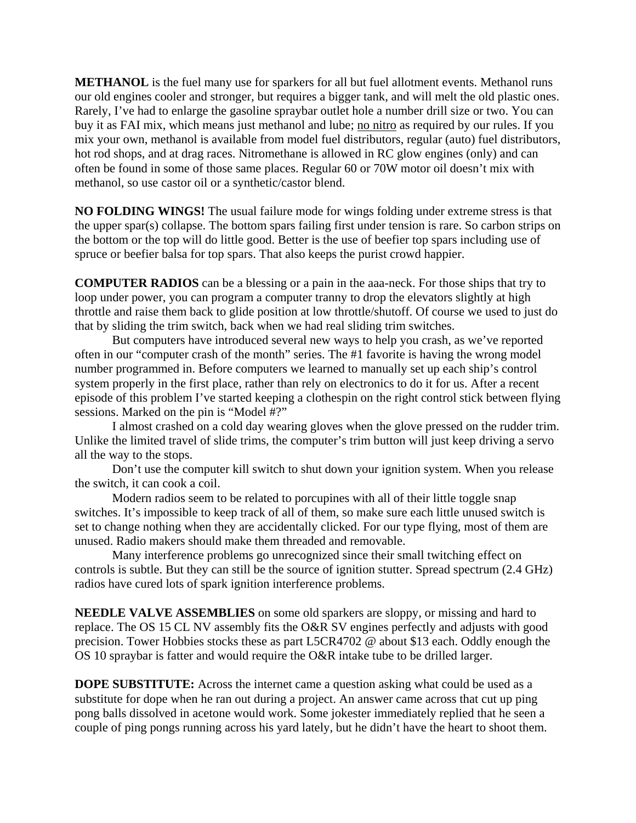**METHANOL** is the fuel many use for sparkers for all but fuel allotment events. Methanol runs our old engines cooler and stronger, but requires a bigger tank, and will melt the old plastic ones. Rarely, I've had to enlarge the gasoline spraybar outlet hole a number drill size or two. You can buy it as FAI mix, which means just methanol and lube; no nitro as required by our rules. If you mix your own, methanol is available from model fuel distributors, regular (auto) fuel distributors, hot rod shops, and at drag races. Nitromethane is allowed in RC glow engines (only) and can often be found in some of those same places. Regular 60 or 70W motor oil doesn't mix with methanol, so use castor oil or a synthetic/castor blend.

**NO FOLDING WINGS!** The usual failure mode for wings folding under extreme stress is that the upper spar(s) collapse. The bottom spars failing first under tension is rare. So carbon strips on the bottom or the top will do little good. Better is the use of beefier top spars including use of spruce or beefier balsa for top spars. That also keeps the purist crowd happier.

**COMPUTER RADIOS** can be a blessing or a pain in the aaa-neck. For those ships that try to loop under power, you can program a computer tranny to drop the elevators slightly at high throttle and raise them back to glide position at low throttle/shutoff. Of course we used to just do that by sliding the trim switch, back when we had real sliding trim switches.

But computers have introduced several new ways to help you crash, as we've reported often in our "computer crash of the month" series. The #1 favorite is having the wrong model number programmed in. Before computers we learned to manually set up each ship's control system properly in the first place, rather than rely on electronics to do it for us. After a recent episode of this problem I've started keeping a clothespin on the right control stick between flying sessions. Marked on the pin is "Model #?"

I almost crashed on a cold day wearing gloves when the glove pressed on the rudder trim. Unlike the limited travel of slide trims, the computer's trim button will just keep driving a servo all the way to the stops.

 Don't use the computer kill switch to shut down your ignition system. When you release the switch, it can cook a coil.

 Modern radios seem to be related to porcupines with all of their little toggle snap switches. It's impossible to keep track of all of them, so make sure each little unused switch is set to change nothing when they are accidentally clicked. For our type flying, most of them are unused. Radio makers should make them threaded and removable.

Many interference problems go unrecognized since their small twitching effect on controls is subtle. But they can still be the source of ignition stutter. Spread spectrum (2.4 GHz) radios have cured lots of spark ignition interference problems.

**NEEDLE VALVE ASSEMBLIES** on some old sparkers are sloppy, or missing and hard to replace. The OS 15 CL NV assembly fits the O&R SV engines perfectly and adjusts with good precision. Tower Hobbies stocks these as part L5CR4702 @ about \$13 each. Oddly enough the OS 10 spraybar is fatter and would require the O&R intake tube to be drilled larger.

**DOPE SUBSTITUTE:** Across the internet came a question asking what could be used as a substitute for dope when he ran out during a project. An answer came across that cut up ping pong balls dissolved in acetone would work. Some jokester immediately replied that he seen a couple of ping pongs running across his yard lately, but he didn't have the heart to shoot them.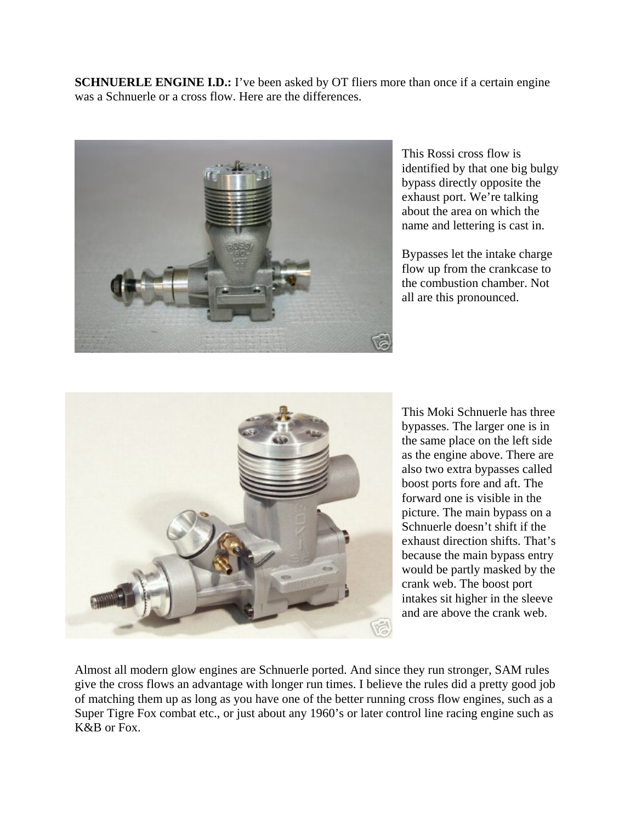**SCHNUERLE ENGINE I.D.:** I've been asked by OT fliers more than once if a certain engine was a Schnuerle or a cross flow. Here are the differences.



This Rossi cross flow is identified by that one big bulgy bypass directly opposite the exhaust port. We're talking about the area on which the name and lettering is cast in.

Bypasses let the intake charge flow up from the crankcase to the combustion chamber. Not all are this pronounced.



This Moki Schnuerle has three bypasses. The larger one is in the same place on the left side as the engine above. There are also two extra bypasses called boost ports fore and aft. The forward one is visible in the picture. The main bypass on a Schnuerle doesn't shift if the exhaust direction shifts. That's because the main bypass entry would be partly masked by the crank web. The boost port intakes sit higher in the sleeve and are above the crank web.

Almost all modern glow engines are Schnuerle ported. And since they run stronger, SAM rules give the cross flows an advantage with longer run times. I believe the rules did a pretty good job of matching them up as long as you have one of the better running cross flow engines, such as a Super Tigre Fox combat etc., or just about any 1960's or later control line racing engine such as K&B or Fox.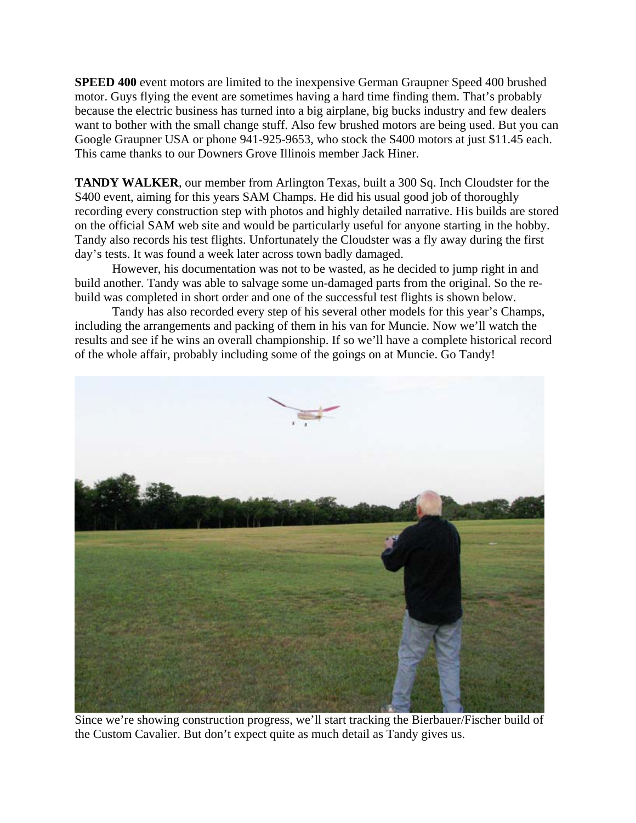**SPEED 400** event motors are limited to the inexpensive German Graupner Speed 400 brushed motor. Guys flying the event are sometimes having a hard time finding them. That's probably because the electric business has turned into a big airplane, big bucks industry and few dealers want to bother with the small change stuff. Also few brushed motors are being used. But you can Google Graupner USA or phone 941-925-9653, who stock the S400 motors at just \$11.45 each. This came thanks to our Downers Grove Illinois member Jack Hiner.

**TANDY WALKER**, our member from Arlington Texas, built a 300 Sq. Inch Cloudster for the S400 event, aiming for this years SAM Champs. He did his usual good job of thoroughly recording every construction step with photos and highly detailed narrative. His builds are stored on the official SAM web site and would be particularly useful for anyone starting in the hobby. Tandy also records his test flights. Unfortunately the Cloudster was a fly away during the first day's tests. It was found a week later across town badly damaged.

However, his documentation was not to be wasted, as he decided to jump right in and build another. Tandy was able to salvage some un-damaged parts from the original. So the rebuild was completed in short order and one of the successful test flights is shown below.

Tandy has also recorded every step of his several other models for this year's Champs, including the arrangements and packing of them in his van for Muncie. Now we'll watch the results and see if he wins an overall championship. If so we'll have a complete historical record of the whole affair, probably including some of the goings on at Muncie. Go Tandy!



Since we're showing construction progress, we'll start tracking the Bierbauer/Fischer build of the Custom Cavalier. But don't expect quite as much detail as Tandy gives us.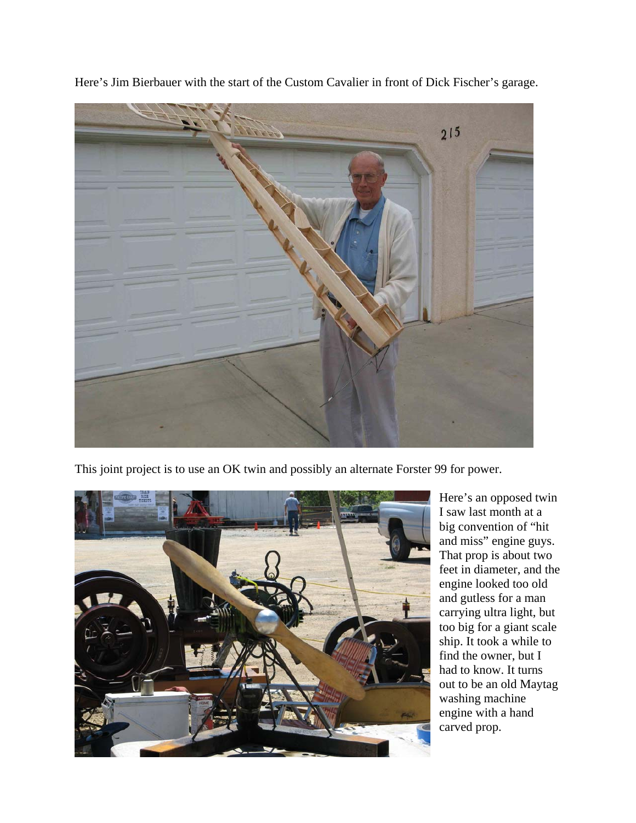

Here's Jim Bierbauer with the start of the Custom Cavalier in front of Dick Fischer's garage.

This joint project is to use an OK twin and possibly an alternate Forster 99 for power.



Here's an opposed twin I saw last month at a big convention of "hit and miss" engine guys. That prop is about two feet in diameter, and the engine looked too old and gutless for a man carrying ultra light, but too big for a giant scale ship. It took a while to find the owner, but I had to know. It turns out to be an old Maytag washing machine engine with a hand carved prop.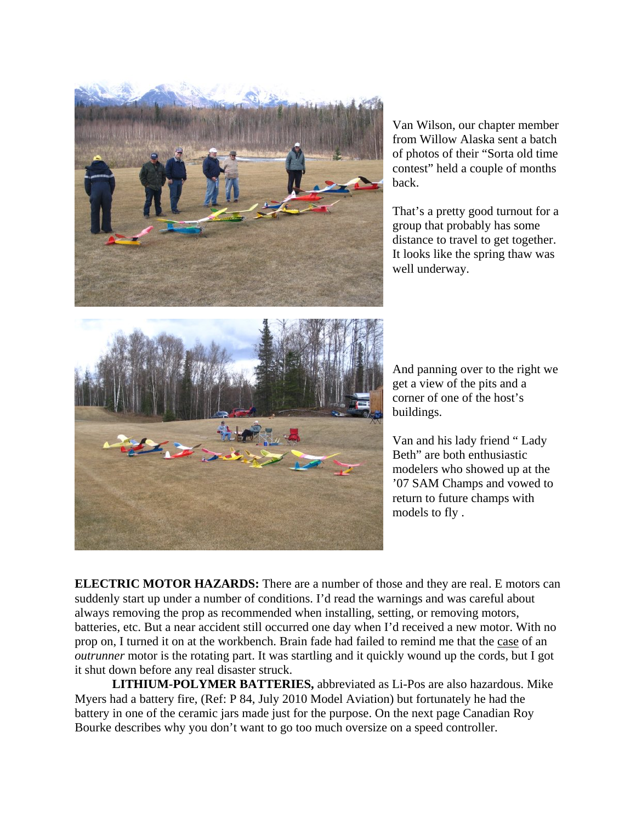

Van Wilson, our chapter member from Willow Alaska sent a batch of photos of their "Sorta old time contest" held a couple of months back.

That's a pretty good turnout for a group that probably has some distance to travel to get together. It looks like the spring thaw was well underway.

And panning over to the right we get a view of the pits and a corner of one of the host's buildings.

Van and his lady friend " Lady Beth" are both enthusiastic modelers who showed up at the '07 SAM Champs and vowed to return to future champs with models to fly .

**ELECTRIC MOTOR HAZARDS:** There are a number of those and they are real. E motors can suddenly start up under a number of conditions. I'd read the warnings and was careful about always removing the prop as recommended when installing, setting, or removing motors, batteries, etc. But a near accident still occurred one day when I'd received a new motor. With no prop on, I turned it on at the workbench. Brain fade had failed to remind me that the case of an *outrunner* motor is the rotating part. It was startling and it quickly wound up the cords, but I got it shut down before any real disaster struck.

**LITHIUM-POLYMER BATTERIES,** abbreviated as Li-Pos are also hazardous. Mike Myers had a battery fire, (Ref: P 84, July 2010 Model Aviation) but fortunately he had the battery in one of the ceramic jars made just for the purpose. On the next page Canadian Roy Bourke describes why you don't want to go too much oversize on a speed controller.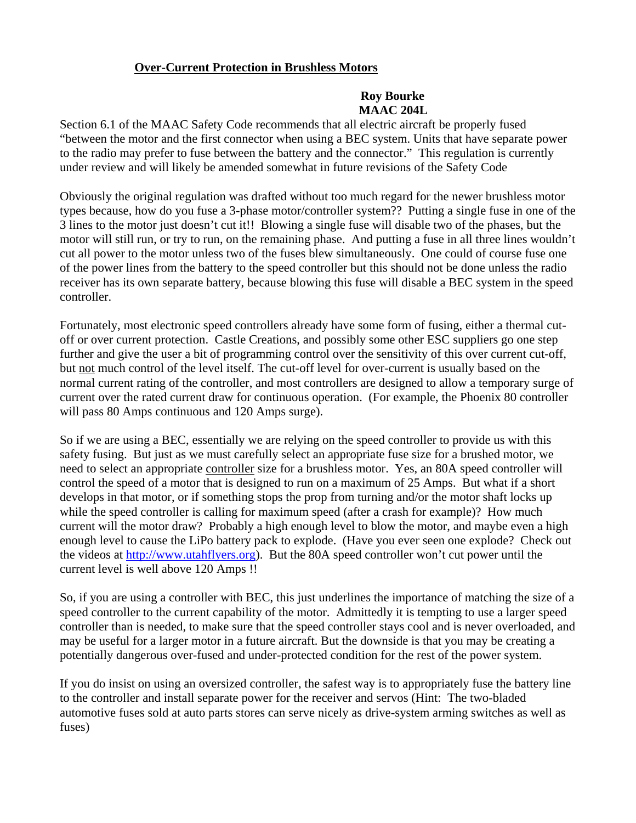## **Over-Current Protection in Brushless Motors**

## **Roy Bourke MAAC 204L**

Section 6.1 of the MAAC Safety Code recommends that all electric aircraft be properly fused "between the motor and the first connector when using a BEC system. Units that have separate power to the radio may prefer to fuse between the battery and the connector." This regulation is currently under review and will likely be amended somewhat in future revisions of the Safety Code

Obviously the original regulation was drafted without too much regard for the newer brushless motor types because, how do you fuse a 3-phase motor/controller system?? Putting a single fuse in one of the 3 lines to the motor just doesn't cut it!! Blowing a single fuse will disable two of the phases, but the motor will still run, or try to run, on the remaining phase. And putting a fuse in all three lines wouldn't cut all power to the motor unless two of the fuses blew simultaneously. One could of course fuse one of the power lines from the battery to the speed controller but this should not be done unless the radio receiver has its own separate battery, because blowing this fuse will disable a BEC system in the speed controller.

Fortunately, most electronic speed controllers already have some form of fusing, either a thermal cutoff or over current protection. Castle Creations, and possibly some other ESC suppliers go one step further and give the user a bit of programming control over the sensitivity of this over current cut-off, but not much control of the level itself. The cut-off level for over-current is usually based on the normal current rating of the controller, and most controllers are designed to allow a temporary surge of current over the rated current draw for continuous operation. (For example, the Phoenix 80 controller will pass 80 Amps continuous and 120 Amps surge).

So if we are using a BEC, essentially we are relying on the speed controller to provide us with this safety fusing. But just as we must carefully select an appropriate fuse size for a brushed motor, we need to select an appropriate controller size for a brushless motor. Yes, an 80A speed controller will control the speed of a motor that is designed to run on a maximum of 25 Amps. But what if a short develops in that motor, or if something stops the prop from turning and/or the motor shaft locks up while the speed controller is calling for maximum speed (after a crash for example)? How much current will the motor draw? Probably a high enough level to blow the motor, and maybe even a high enough level to cause the LiPo battery pack to explode. (Have you ever seen one explode? Check out the videos at [http://www.utahflyers.org](http://www.utahflyers.org/)). But the 80A speed controller won't cut power until the current level is well above 120 Amps !!

So, if you are using a controller with BEC, this just underlines the importance of matching the size of a speed controller to the current capability of the motor. Admittedly it is tempting to use a larger speed controller than is needed, to make sure that the speed controller stays cool and is never overloaded, and may be useful for a larger motor in a future aircraft. But the downside is that you may be creating a potentially dangerous over-fused and under-protected condition for the rest of the power system.

If you do insist on using an oversized controller, the safest way is to appropriately fuse the battery line to the controller and install separate power for the receiver and servos (Hint: The two-bladed automotive fuses sold at auto parts stores can serve nicely as drive-system arming switches as well as fuses)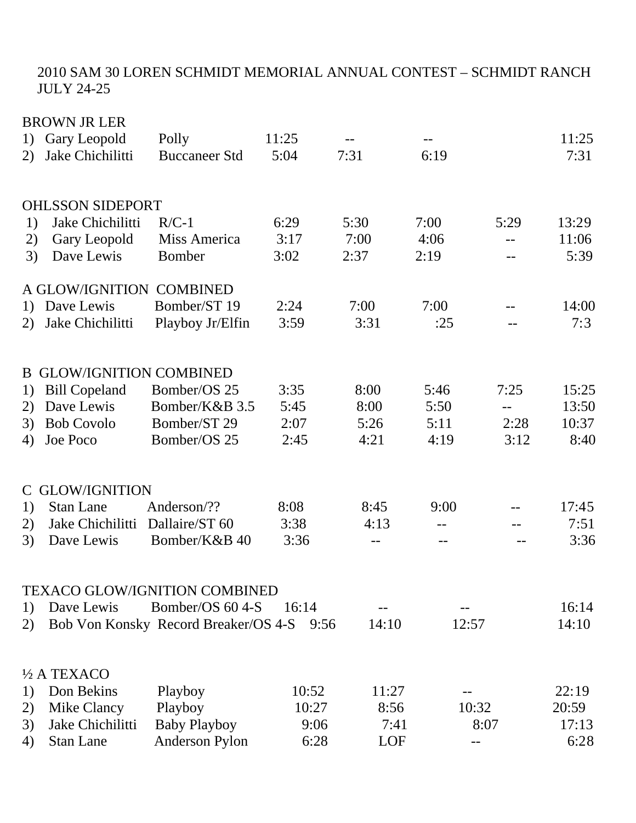## 2010 SAM 30 LOREN SCHMIDT MEMORIAL ANNUAL CONTEST – SCHMIDT RANCH JULY 24-25

|    | <b>BROWN JR LER</b>           |                                      |       |       |       |       |       |
|----|-------------------------------|--------------------------------------|-------|-------|-------|-------|-------|
| 1) | Gary Leopold                  | Polly                                | 11:25 |       |       |       | 11:25 |
| 2) | Jake Chichilitti              | <b>Buccaneer Std</b>                 | 5:04  | 7:31  | 6:19  |       | 7:31  |
|    |                               |                                      |       |       |       |       |       |
|    |                               |                                      |       |       |       |       |       |
|    | <b>OHLSSON SIDEPORT</b>       |                                      |       |       |       |       |       |
| 1) | Jake Chichilitti              | $R/C-1$                              | 6:29  | 5:30  | 7:00  | 5:29  | 13:29 |
| 2) | Gary Leopold                  | Miss America                         | 3:17  | 7:00  | 4:06  | $-$   | 11:06 |
| 3) | Dave Lewis                    | Bomber                               | 3:02  | 2:37  | 2:19  |       | 5:39  |
|    | A GLOW/IGNITION COMBINED      |                                      |       |       |       |       |       |
| 1) | Dave Lewis                    | Bomber/ST 19                         | 2:24  | 7:00  | 7:00  |       | 14:00 |
| 2) | Jake Chichilitti              | Playboy Jr/Elfin                     | 3:59  | 3:31  | :25   |       | 7:3   |
|    |                               |                                      |       |       |       |       |       |
|    |                               |                                      |       |       |       |       |       |
| B. | <b>GLOW/IGNITION COMBINED</b> |                                      |       |       |       |       |       |
| 1) | <b>Bill Copeland</b>          | Bomber/OS 25                         | 3:35  | 8:00  | 5:46  | 7:25  | 15:25 |
| 2) | Dave Lewis                    | Bomber/K&B 3.5                       | 5:45  | 8:00  | 5:50  |       | 13:50 |
| 3) | <b>Bob Covolo</b>             | Bomber/ST 29                         | 2:07  | 5:26  | 5:11  | 2:28  | 10:37 |
| 4) | Joe Poco                      | Bomber/OS 25                         | 2:45  | 4:21  | 4:19  | 3:12  | 8:40  |
|    |                               |                                      |       |       |       |       |       |
| C  | <b>GLOW/IGNITION</b>          |                                      |       |       |       |       |       |
| 1) | <b>Stan Lane</b>              | Anderson/??                          | 8:08  | 8:45  | 9:00  |       | 17:45 |
|    | Jake Chichilitti              | Dallaire/ST 60                       |       | 4:13  |       |       | 7:51  |
| 2) |                               |                                      | 3:38  |       | $-$   | $- -$ |       |
| 3) | Dave Lewis                    | Bomber/K&B 40                        | 3:36  |       |       |       | 3:36  |
|    |                               |                                      |       |       |       |       |       |
|    |                               | <b>TEXACO GLOW/IGNITION COMBINED</b> |       |       |       |       |       |
| 1) | Dave Lewis                    | Bomber/OS 60 4-S                     | 16:14 |       |       |       | 16:14 |
| 2) |                               | Bob Von Konsky Record Breaker/OS 4-S | 9:56  | 14:10 | 12:57 |       | 14:10 |
|    |                               |                                      |       |       |       |       |       |
|    | $\frac{1}{2}$ A TEXACO        |                                      |       |       |       |       |       |
| 1) | Don Bekins                    | Playboy                              | 10:52 | 11:27 |       |       | 22:19 |
| 2) | Mike Clancy                   | Playboy                              | 10:27 | 8:56  |       | 10:32 | 20:59 |
| 3) | Jake Chichilitti              | <b>Baby Playboy</b>                  | 9:06  | 7:41  |       | 8:07  | 17:13 |
|    | <b>Stan Lane</b>              | Anderson Pylon                       | 6:28  | LOF   |       |       | 6:28  |
| 4) |                               |                                      |       |       |       |       |       |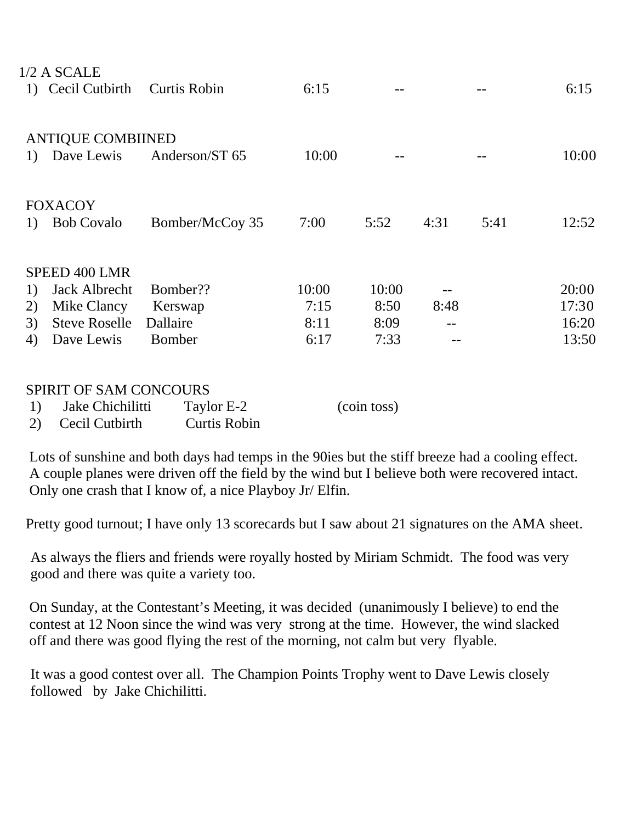|    | $1/2$ A SCALE            |                     |       |       |      |      |       |
|----|--------------------------|---------------------|-------|-------|------|------|-------|
|    | 1) Cecil Cutbirth        | <b>Curtis Robin</b> | 6:15  |       |      |      | 6:15  |
|    |                          |                     |       |       |      |      |       |
|    |                          |                     |       |       |      |      |       |
|    | <b>ANTIQUE COMBIINED</b> |                     |       |       |      |      |       |
| 1) | Dave Lewis               | Anderson/ST 65      | 10:00 |       |      |      | 10:00 |
|    |                          |                     |       |       |      |      |       |
|    |                          |                     |       |       |      |      |       |
|    | <b>FOXACOY</b>           |                     |       |       |      |      |       |
| 1) | <b>Bob Covalo</b>        | Bomber/McCoy 35     | 7:00  | 5:52  | 4:31 | 5:41 | 12:52 |
|    |                          |                     |       |       |      |      |       |
|    |                          |                     |       |       |      |      |       |
|    | SPEED 400 LMR            |                     |       |       |      |      |       |
| 1) | Jack Albrecht            | Bomber??            | 10:00 | 10:00 |      |      | 20:00 |
| 2) | Mike Clancy              | Kerswap             | 7:15  | 8:50  | 8:48 |      | 17:30 |
| 3) | <b>Steve Roselle</b>     | Dallaire            | 8:11  | 8:09  |      |      | 16:20 |
| 4) | Dave Lewis               | <b>Bomber</b>       | 6:17  | 7:33  |      |      | 13:50 |
|    |                          |                     |       |       |      |      |       |
|    |                          |                     |       |       |      |      |       |
|    |                          |                     |       |       |      |      |       |

## SPIRIT OF SAM CONCOURS

| Jake Chichilitti  | Taylor E-2   | (coin toss) |
|-------------------|--------------|-------------|
| 2) Cecil Cutbirth | Curtis Robin |             |

 Lots of sunshine and both days had temps in the 90ies but the stiff breeze had a cooling effect. A couple planes were driven off the field by the wind but I believe both were recovered intact. Only one crash that I know of, a nice Playboy Jr/ Elfin.

Pretty good turnout; I have only 13 scorecards but I saw about 21 signatures on the AMA sheet.

As always the fliers and friends were royally hosted by Miriam Schmidt. The food was very good and there was quite a variety too.

 On Sunday, at the Contestant's Meeting, it was decided (unanimously I believe) to end the contest at 12 Noon since the wind was very strong at the time. However, the wind slacked off and there was good flying the rest of the morning, not calm but very flyable.

It was a good contest over all. The Champion Points Trophy went to Dave Lewis closely followed by Jake Chichilitti.